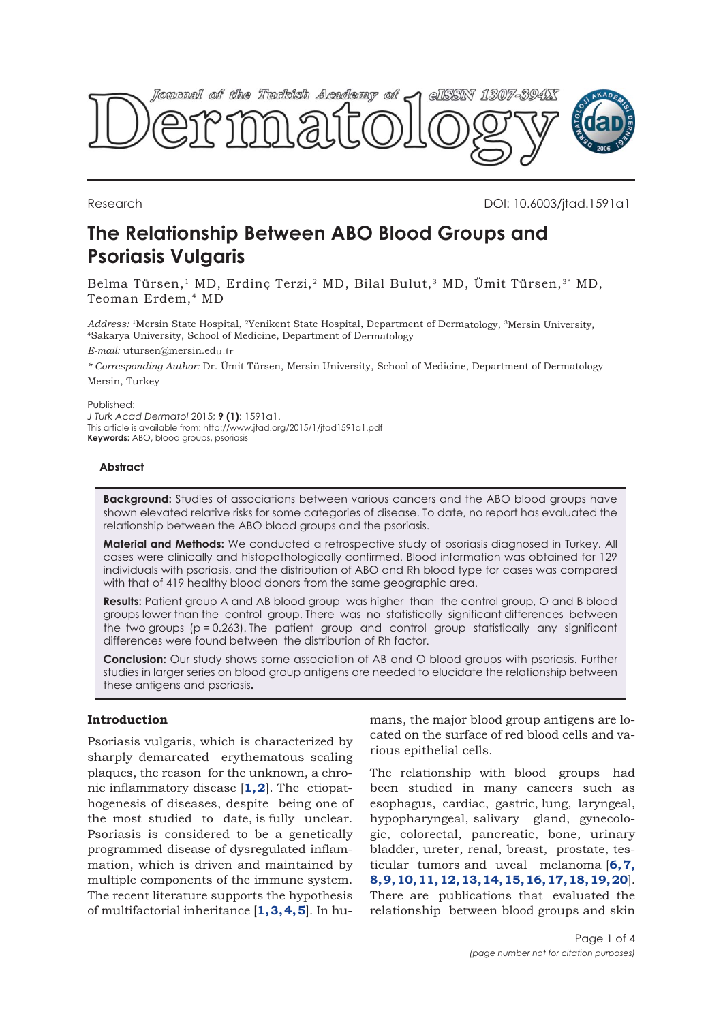

Research DOI: 10.6003/jtad.1591a1

# **The Relationship Between ABO Blood Groups and Psoriasis Vulgaris**

Belma Türsen,<sup>1</sup> MD, Erdinç Terzi,<sup>2</sup> MD, Bilal Bulut,<sup>3</sup> MD, Ümit Türsen,<sup>3\*</sup> MD, Teoman Erdem,4 MD

*Address:* <sup>1</sup>Mersin State Hospital, <sup>2</sup>Yenikent State Hospital, Department of Dermatology, <sup>3</sup>Mersin University, <sup>4</sup>Sakarya University, School of Medicine, Department of Dermatology

*E-mail:* utursen@mersin.edu.tr

*\* Corresponding Author:* Dr. Ümit Türsen, Mersin University, School of Medicine, Department of Dermatology Mersin, Turkey

Published:

*J Turk Acad Dermatol* 2015; **9 (1)**: 1591a1. This article is available from: http://www.jtad.org/2015/1/jtad1591a1.pdf **Keywords:** ABO, blood groups, psoriasis

# **Abstract**

**Background:** Studies of associations between various cancers and the ABO blood groups have shown elevated relative risks for some categories of disease. To date, no report has evaluated the relationship between the ABO blood groups and the psoriasis.

**Material and Methods:** We conducted a retrospective study of psoriasis diagnosed in Turkey. All cases were clinically and histopathologically confirmed. Blood information was obtained for 129 individuals with psoriasis, and the distribution of ABO and Rh blood type for cases was compared with that of 419 healthy blood donors from the same geographic area.

**Results:** Patient group A and AB blood group was higher than the control group, O and B blood groups lower than the control group. There was no statistically significant differences between the two groups (p = 0.263). The patient group and control group statistically any significant differences were found between the distribution of Rh factor.

**Conclusion:** Our study shows some association of AB and O blood groups with psoriasis. Further studies in larger series on blood group antigens are needed to elucidate the relationship between these antigens and psoriasis**.**

# **Introduction**

Psoriasis vulgaris, which is characterized by sharply demarcated erythematous scaling plaques, the reason for the unknown, a chronic inflammatory disease [**[1, 2](#page-2-0)**]. The etiopathogenesis of diseases, despite being one of the most studied to date, is fully unclear. Psoriasis is considered to be a genetically programmed disease of dysregulated inflammation, which is driven and maintained by multiple components of the immune system. The recent literature supports the hypothesis of multifactorial inheritance [**[1](#page-2-0), [3, 4, 5](#page-2-0)**]. In humans, the major blood group antigens are located on the surface of red blood cells and various epithelial cells.

The relationship with blood groups had been studied in many cancers such as esophagus, cardiac, gastric, lung, laryngeal, hypopharyngeal, salivary gland, gynecologic, colorectal, pancreatic, bone, urinary bladder, ureter, renal, breast, prostate, testicular tumors and uveal melanoma [**[6, 7,](#page-2-0) [8](#page-2-0), [9](#page-2-0), [10](#page-2-0), [11, 12, 13](#page-2-0), [14, 15, 16](#page-2-0), [17](#page-2-0), [18, 19](#page-2-0), [20](#page-2-0)**]. There are publications that evaluated the relationship between blood groups and skin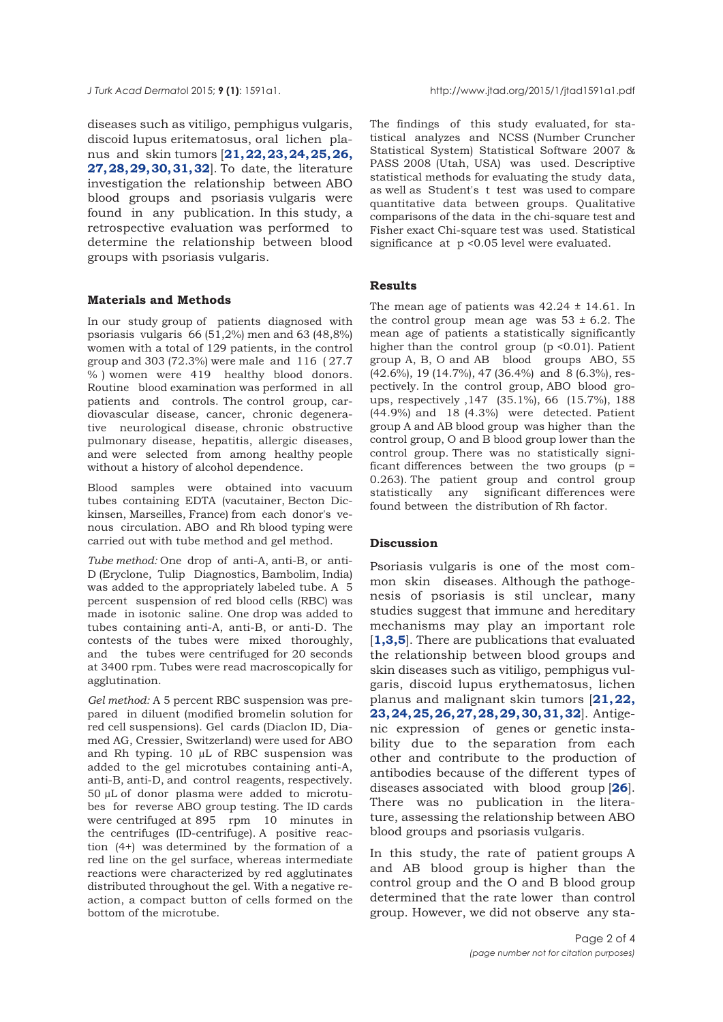diseases such as vitiligo, pemphigus vulgaris, discoid lupus eritematosus, oral lichen planus and skin tumors [**[21,](#page-2-0) [22, 23, 24](#page-3-0), [25](#page-3-0), [26](#page-3-0), [27](#page-3-0), [28, 29](#page-3-0), [30, 31](#page-3-0), [32](#page-3-0)**]. To date, the literature investigation the relationship between ABO blood groups and psoriasis vulgaris were found in any publication. In this study, a retrospective evaluation was performed to determine the relationship between blood groups with psoriasis vulgaris.

# **Materials and Methods**

In our study group of patients diagnosed with psoriasis vulgaris 66 (51,2%) men and 63 (48,8%) women with a total of 129 patients, in the control group and 303 (72.3%) were male and 116 ( 27.7 % ) women were 419 healthy blood donors. Routine blood examination was performed in all patients and controls. The control group, cardiovascular disease, cancer, chronic degenerative neurological disease, chronic obstructive pulmonary disease, hepatitis, allergic diseases, and were selected from among healthy people without a history of alcohol dependence.

Blood samples were obtained into vacuum tubes containing EDTA (vacutainer, Becton Dickinsen, Marseilles, France) from each donor's venous circulation. ABO and Rh blood typing were carried out with tube method and gel method.

*Tube method:* One drop of anti-A, anti-B, or anti-D (Eryclone, Tulip Diagnostics, Bambolim, India) was added to the appropriately labeled tube. A 5 percent suspension of red blood cells (RBC) was made in isotonic saline. One drop was added to tubes containing anti-A, anti-B, or anti-D. The contests of the tubes were mixed thoroughly, and the tubes were centrifuged for 20 seconds at 3400 rpm. Tubes were read macroscopically for agglutination.

*Gel method:* A 5 percent RBC suspension was prepared in diluent (modified bromelin solution for red cell suspensions). Gel cards (Diaclon ID, Diamed AG, Cressier, Switzerland) were used for ABO and Rh typing. 10 µL of RBC suspension was added to the gel microtubes containing anti-A, anti-B, anti-D, and control reagents, respectively. 50 µL of donor plasma were added to microtubes for reverse ABO group testing. The ID cards were centrifuged at 895 rpm 10 minutes in the centrifuges (ID-centrifuge). A positive reaction (4+) was determined by the formation of a red line on the gel surface, whereas intermediate reactions were characterized by red agglutinates distributed throughout the gel. With a negative reaction, a compact button of cells formed on the bottom of the microtube.

The findings of this study evaluated, for statistical analyzes and NCSS (Number Cruncher Statistical System) Statistical Software 2007 & PASS 2008 (Utah, USA) was used. Descriptive statistical methods for evaluating the study data, as well as Student's t test was used to compare quantitative data between groups. Qualitative comparisons of the data in the chi-square test and Fisher exact Chi-square test was used. Statistical significance at p <0.05 level were evaluated.

# **Results**

The mean age of patients was  $42.24 \pm 14.61$ . In the control group mean age was  $53 \pm 6.2$ . The mean age of patients a statistically significantly higher than the control group (p <0.01). Patient group A, B, O and AB blood groups ABO, 55 (42.6%), 19 (14.7%), 47 (36.4%) and 8 (6.3%), respectively. In the control group, ABO blood groups, respectively ,147 (35.1%), 66 (15.7%), 188 (44.9%) and 18 (4.3%) were detected. Patient group A and AB blood group was higher than the control group, O and B blood group lower than the control group. There was no statistically significant differences between the two groups ( $p =$ 0.263). The patient group and control group statistically any significant differences were found between the distribution of Rh factor.

# **Discussion**

Psoriasis vulgaris is one of the most common skin diseases. Although the pathogenesis of psoriasis is stil unclear, many studies suggest that immune and hereditary mechanisms may play an important role [**[1](#page-2-0),[3](#page-2-0),[5](#page-2-0)**]. There are publications that evaluated the relationship between blood groups and skin diseases such as vitiligo, pemphigus vulgaris, discoid lupus erythematosus, lichen planus and malignant skin tumors [**[21,](#page-3-0) [22,](#page-2-0) [23, 24, 25, 26](#page-3-0), [27](#page-3-0), [28](#page-3-0), [29](#page-3-0), [30, 31, 32](#page-3-0)**]. Antigenic expression of genes or genetic instability due to the separation from each other and contribute to the production of antibodies because of the different types of diseases associated with blood group [**[26](#page-3-0)**]. There was no publication in the literature, assessing the relationship between ABO blood groups and psoriasis vulgaris.

In this study, the rate of patient groups A and AB blood group is higher than the control group and the O and B blood group determined that the rate lower than control group. However, we did not observe any sta-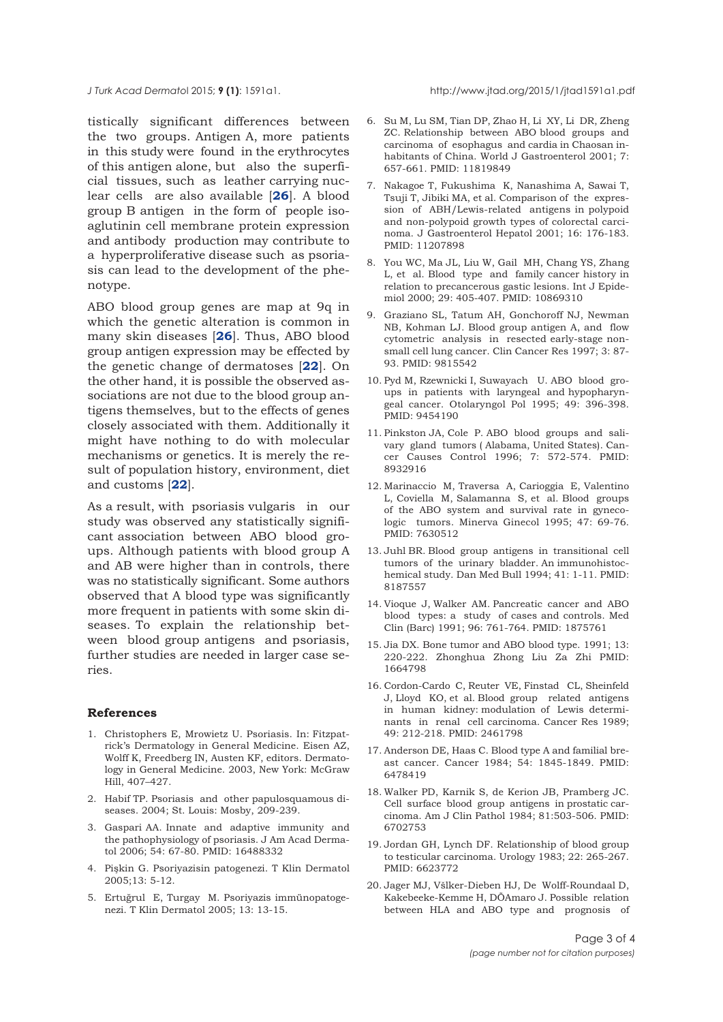<span id="page-2-0"></span>

tistically significant differences between the two groups. Antigen A, more patients in this study were found in the erythrocytes of this antigen alone, but also the superficial tissues, such as leather carrying nuclear cells are also available [**[26](#page-3-0)**]. A blood group B antigen in the form of people isoaglutinin cell membrane protein expression and antibody production may contribute to a hyperproliferative disease such as psoriasis can lead to the development of the phenotype.

ABO blood group genes are map at 9q in which the genetic alteration is common in many skin diseases [**[26](#page-3-0)**]. Thus, ABO blood group antigen expression may be effected by the genetic change of dermatoses [**[22](#page-3-0)**]. On the other hand, it is possible the observed associations are not due to the blood group antigens themselves, but to the effects of genes closely associated with them. Additionally it might have nothing to do with molecular mechanisms or genetics. It is merely the result of population history, environment, diet and customs [**[22](#page-3-0)**].

As a result, with psoriasis vulgaris in our study was observed any statistically significant association between ABO blood groups. Although patients with blood group A and AB were higher than in controls, there was no statistically significant. Some authors observed that A blood type was significantly more frequent in patients with some skin diseases. To explain the relationship between blood group antigens and psoriasis, further studies are needed in larger case series.

#### **References**

- 1. Christophers E, Mrowietz U. Psoriasis. In: Fitzpatrick's Dermatology in General Medicine. Eisen AZ, Wolff K, Freedberg IN, Austen KF, editors. Dermatology in General Medicine. 2003, New York: McGraw Hill, 407–427.
- 2. Habif TP. Psoriasis and other papulosquamous diseases. 2004; St. Louis: Mosby, 209-239.
- 3. Gaspari AA. Innate and adaptive immunity and the pathophysiology of psoriasis. J Am Acad Dermatol 2006; 54: 67-80. PMID: 16488332
- 4. Pişkin G. Psoriyazisin patogenezi. T Klin Dermatol 2005;13: 5-12.
- 5. Ertuğrul E, Turgay M. Psoriyazis immünopatogenezi. T Klin Dermatol 2005; 13: 13-15.
- 6. Su M, Lu SM, Tian DP, Zhao H, Li XY, Li DR, Zheng ZC. Relationship between ABO blood groups and carcinoma of esophagus and cardia in Chaosan inhabitants of China. World J Gastroenterol 2001; 7: 657-661. PMID: 11819849
- 7. Nakagoe T, Fukushima K, Nanashima A, Sawai T, Tsuji T, Jibiki MA, et al. Comparison of the expression of ABH/Lewis-related antigens in polypoid and non-polypoid growth types of colorectal carcinoma. J Gastroenterol Hepatol 2001; 16: 176-183. PMID: 11207898
- 8. You WC, Ma JL, Liu W, Gail MH, Chang YS, Zhang L, et al. Blood type and family cancer history in relation to precancerous gastic lesions. Int J Epidemiol 2000; 29: 405-407. PMID: 10869310
- 9. Graziano SL, Tatum AH, Gonchoroff NJ, Newman NB, Kohman LJ. Blood group antigen A, and flow cytometric analysis in resected early-stage nonsmall cell lung cancer. Clin Cancer Res 1997; 3: 87- 93. PMID: 9815542
- 10. Pyd M, Rzewnicki I, Suwayach U. ABO blood groups in patients with laryngeal and hypopharyngeal cancer. Otolaryngol Pol 1995; 49: 396-398. PMID: 9454190
- 11. Pinkston JA, Cole P. ABO blood groups and salivary gland tumors ( Alabama, United States). Cancer Causes Control 1996; 7: 572-574. PMID: 8932916
- 12. Marinaccio M, Traversa A, Carioggia E, Valentino L, Coviella M, Salamanna S, et al. Blood groups of the ABO system and survival rate in gynecologic tumors. Minerva Ginecol 1995; 47: 69-76. PMID: 7630512
- 13. Juhl BR. Blood group antigens in transitional cell tumors of the urinary bladder. An immunohistochemical study. Dan Med Bull 1994; 41: 1-11. PMID: 8187557
- 14. Vioque J, Walker AM. Pancreatic cancer and ABO blood types: a study of cases and controls. Med Clin (Barc) 1991; 96: 761-764. PMID: 1875761
- 15. Jia DX. Bone tumor and ABO blood type. 1991; 13: 220-222. Zhonghua Zhong Liu Za Zhi PMID: 1664798
- 16. Cordon-Cardo C, Reuter VE, Finstad CL, Sheinfeld J, Lloyd KO, et al. Blood group related antigens in human kidney: modulation of Lewis determinants in renal cell carcinoma. Cancer Res 1989; 49: 212-218. PMID: 2461798
- 17. Anderson DE, Haas C. Blood type A and familial breast cancer. Cancer 1984; 54: 1845-1849. PMID: 6478419
- 18. Walker PD, Karnik S, de Kerion JB, Pramberg JC. Cell surface blood group antigens in prostatic carcinoma. Am J Clin Pathol 1984; 81:503-506. PMID: 6702753
- 19. Jordan GH, Lynch DF. Relationship of blood group to testicular carcinoma. Urology 1983; 22: 265-267. PMID: 6623772
- 20. Jager MJ, Všlker-Dieben HJ, De Wolff-Roundaal D, Kakebeeke-Kemme H, DÕAmaro J. Possible relation between HLA and ABO type and prognosis of